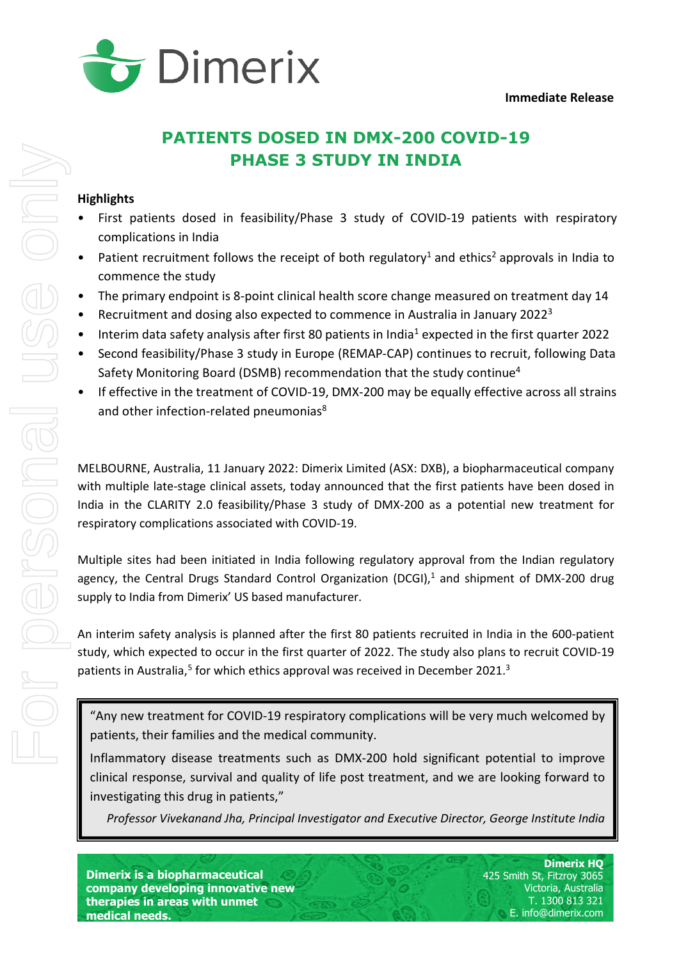

# <span id="page-0-2"></span><span id="page-0-0"></span>**PATIENTS DOSED IN DMX-200 COVID-19 PHASE 3 STUDY IN INDIA**

# **Highlights**

- First patients dosed in feasibility/Phase 3 study of COVID-19 patients with respiratory complications in India
- Patient recruitment follows the receipt of both regulatory<sup>[1](#page-4-0)</sup> and ethics<sup>[2](#page-4-1)</sup> approvals in India to commence the study
- The primary endpoint is 8-point clinical health score change measured on treatment day 14
- Recruitment and dosing also expected to commence in Australia in January 2022[3](#page-4-2)
- Interim data safety analysis after first 80 patients in India<sup>1</sup> expected in the first quarter 2022
- Second feasibility/Phase 3 study in Europe (REMAP-CAP) continues to recruit, following Data Safety Monitoring Board (DSMB) recommendation that the study continue[4](#page-4-3)
- <span id="page-0-1"></span>If effective in the treatment of COVID-19, DMX-200 may be equally effective across all strains and other infection-related pneumonias<sup>8</sup>

MELBOURNE, Australia, 11 January 2022: Dimerix Limited (ASX: DXB), a biopharmaceutical company with multiple late-stage clinical assets, today announced that the first patients have been dosed in India in the CLARITY 2.0 feasibility/Phase 3 study of DMX-200 as a potential new treatment for respiratory complications associated with COVID-19.

Multiple sites had been initiated in India following regulatory approval from the Indian regulatory agency, the Central Drugs Standard Control Organization (DCGI), $<sup>1</sup>$  and shipment of DMX-200 drug</sup> supply to India from Dimerix' US based manufacturer.

An interim safety analysis is planned after the first 80 patients recruited in India in the 600-patient study, which expected to occur in the first quarter of 2022. The study also plans to recruit COVID-19 patients in Australia,<sup>[5](#page-4-4)</sup> for which ethics approval was received in December 2021[.](#page-0-0)<sup>3</sup>

"Any new treatment for COVID-19 respiratory complications will be very much welcomed by patients, their families and the medical community.

Inflammatory disease treatments such as DMX-200 hold significant potential to improve clinical response, survival and quality of life post treatment, and we are looking forward to investigating this drug in patients,"

*Professor Vivekanand Jha, Principal Investigator and Executive Director, George Institute India*

**Dimerix is a biopharmaceutical company developing innovative new therapies in areas with unmet medical needs.**

**Dimerix HQ** 425 Smith St, Fitzroy 3065 Victoria, Australia T. 1300 813 321 E. info@dimerix.com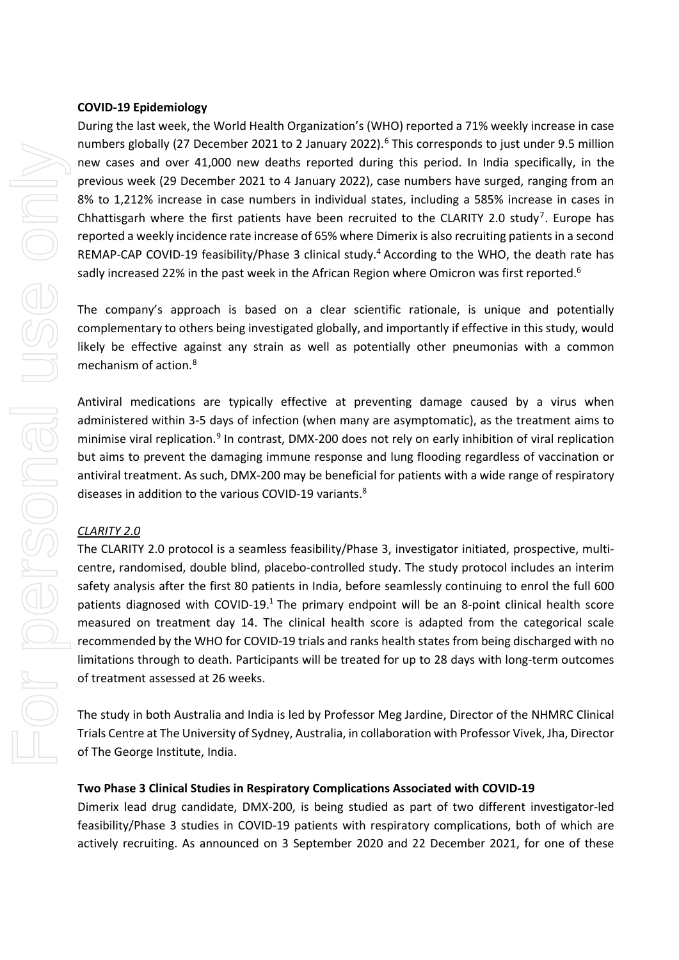### <span id="page-1-0"></span>**COVID-19 Epidemiology**

During the last week, the World Health Organization's (WHO) reported a 71% weekly increase in case numbers globally (27 December 2021 to 2 January 2022). [6](#page-4-5) This corresponds to just under 9.5 million new cases and over 41,000 new deaths reported during this period. In India specifically, in the previous week (29 December 2021 to 4 January 2022), case numbers have surged, ranging from an 8% to 1,212% increase in case numbers in individual states, including a 585% increase in cases in Chhattisgarh where the first patients have been recruited to the CLARITY 2.0 study<sup>[7](#page-4-6)</sup>. Europe has reported a weekly incidence rate increase of 65% where Dimerix is also recruiting patients in a second REMAP-CAP COVID-19 feasibility/Phase 3 clinical study.<sup>[4](#page-0-1)</sup> According to the WHO, the death rate has sadly increased 22% in the past week in the African Region where Omicron was first reported.<sup>[6](#page-1-0)</sup>

The company's approach is based on a clear scientific rationale, is unique and potentially complementary to others being investigated globally, and importantly if effective in this study, would likely be effective against any strain as well as potentially other pneumonias with a common mechanism of action.[8](#page-4-7)

<span id="page-1-1"></span>Antiviral medications are typically effective at preventing damage caused by a virus when administered within 3-5 days of infection (when many are asymptomatic), as the treatment aims to minimise viral replication.<sup>[9](#page-4-8)</sup> In contrast, DMX-200 does not rely on early inhibition of viral replication but aims to prevent the damaging immune response and lung flooding regardless of vaccination or antiviral treatment. As such, DMX-200 may be beneficial for patients with a wide range of respiratory diseases in addition to the various COVID-19 variants.<sup>8</sup>

# *CLARITY 2.0*

The CLARITY 2.0 protocol is a seamless feasibility/Phase 3, investigator initiated, prospective, multicentre, randomised, double blind, placebo-controlled study. The study protocol includes an interim safety analysis after the first 80 patients in India, before seamlessly continuing to enrol the full 600 patients diagnosed with COVID-19.<sup>1</sup> The primary endpoint will be an 8-point clinical health score measured on treatment day 14. The clinical health score is adapted from the categorical scale recommended by the WHO for COVID-19 trials and ranks health states from being discharged with no limitations through to death. Participants will be treated for up to 28 days with long-term outcomes of treatment assessed at 26 weeks.

The study in both Australia and India is led by Professor Meg Jardine, Director of the NHMRC Clinical Trials Centre at The University of Sydney, Australia, in collaboration with Professor Vivek, Jha, Director of The George Institute, India.

# **Two Phase 3 Clinical Studies in Respiratory Complications Associated with COVID-19**

Dimerix lead drug candidate, DMX-200, is being studied as part of two different investigator-led feasibility/Phase 3 studies in COVID-19 patients with respiratory complications, both of which are actively recruiting. As announced on 3 September 2020 and 22 December 2021, for one of these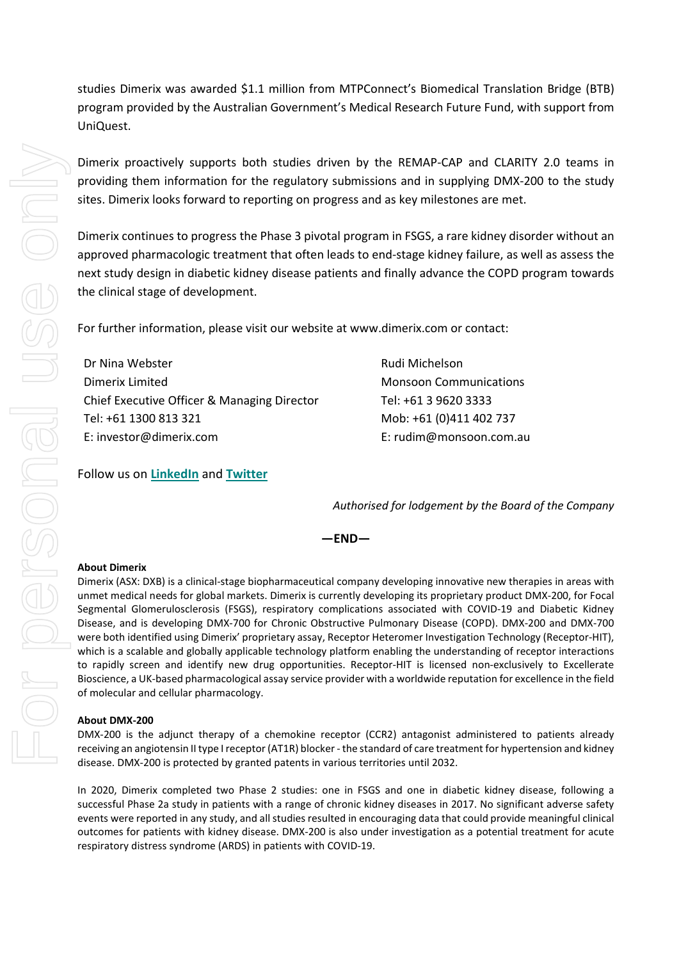studies Dimerix was awarded \$1.1 million from MTPConnect's Biomedical Translation Bridge (BTB) program provided by the Australian Government's Medical Research Future Fund, with support from UniQuest.

Dimerix proactively supports both studies driven by the REMAP-CAP and CLARITY 2.0 teams in providing them information for the regulatory submissions and in supplying DMX-200 to the study sites. Dimerix looks forward to reporting on progress and as key milestones are met.

Dimerix continues to progress the Phase 3 pivotal program in FSGS, a rare kidney disorder without an approved pharmacologic treatment that often leads to end-stage kidney failure, as well as assess the next study design in diabetic kidney disease patients and finally advance the COPD program towards the clinical stage of development.

For further information, please visit our website at www.dimerix.com or contact:

Dr Nina Webster Dimerix Limited Chief Executive Officer & Managing Director Tel: +61 1300 813 321 E: investor@dimerix.com

Follow us on **[LinkedIn](https://www.linkedin.com/company/dimerix-bioscience)** and **[Twitter](https://twitter.com/dimerixltd)**

Monsoon Communications Tel: +61 3 9620 3333 Mob: +61 (0)411 402 737 E: rudim@monsoon.com.au

Rudi Michelson

*Authorised for lodgement by the Board of the Company*

**—END—**

#### **About Dimerix**

Dimerix (ASX: DXB) is a clinical-stage biopharmaceutical company developing innovative new therapies in areas with unmet medical needs for global markets. Dimerix is currently developing its proprietary product DMX-200, for Focal Segmental Glomerulosclerosis (FSGS), respiratory complications associated with COVID-19 and Diabetic Kidney Disease, and is developing DMX-700 for Chronic Obstructive Pulmonary Disease (COPD). DMX-200 and DMX-700 were both identified using Dimerix' proprietary assay, Receptor Heteromer Investigation Technology (Receptor-HIT), which is a scalable and globally applicable technology platform enabling the understanding of receptor interactions to rapidly screen and identify new drug opportunities. Receptor-HIT is licensed non-exclusively to Excellerate Bioscience, a UK-based pharmacological assay service provider with a worldwide reputation for excellence in the field of molecular and cellular pharmacology.

#### **About DMX-200**

DMX-200 is the adjunct therapy of a chemokine receptor (CCR2) antagonist administered to patients already receiving an angiotensin II type I receptor (AT1R) blocker - the standard of care treatment for hypertension and kidney disease. DMX-200 is protected by granted patents in various territories until 2032.

In 2020, Dimerix completed two Phase 2 studies: one in FSGS and one in diabetic kidney disease, following a successful Phase 2a study in patients with a range of chronic kidney diseases in 2017. No significant adverse safety events were reported in any study, and all studies resulted in encouraging data that could provide meaningful clinical outcomes for patients with kidney disease. DMX-200 is also under investigation as a potential treatment for acute respiratory distress syndrome (ARDS) in patients with COVID-19.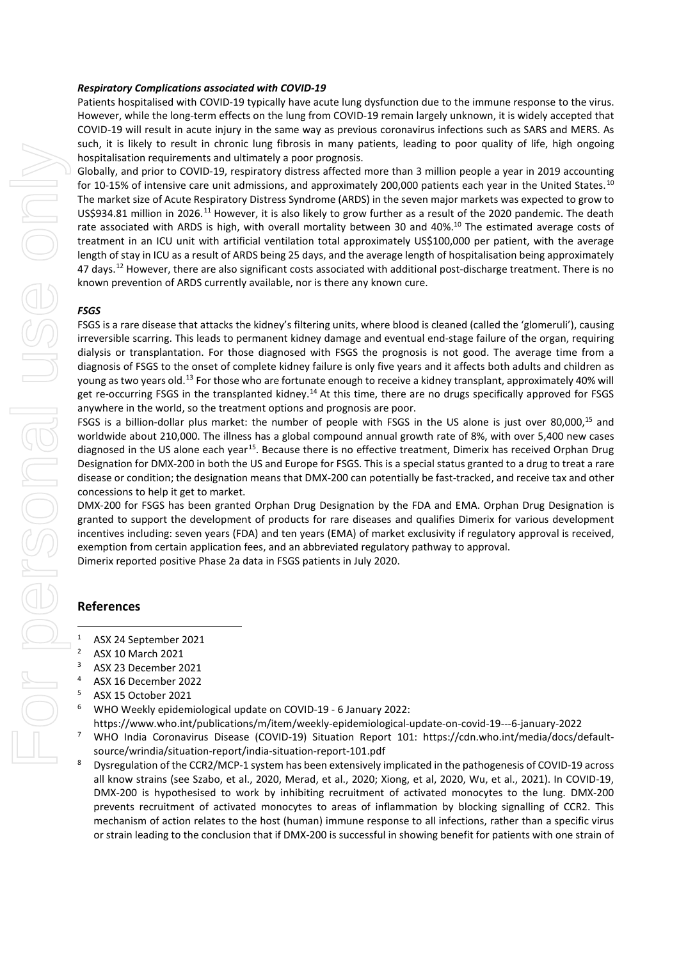#### *Respiratory Complications associated with COVID-19*

Patients hospitalised with COVID-19 typically have acute lung dysfunction due to the immune response to the virus. However, while the long-term effects on the lung from COVID-19 remain largely unknown, it is widely accepted that COVID-19 will result in acute injury in the same way as previous coronavirus infections such as SARS and MERS. As such, it is likely to result in chronic lung fibrosis in many patients, leading to poor quality of life, high ongoing hospitalisation requirements and ultimately a poor prognosis.

<span id="page-3-0"></span>Globally, and prior to COVID-19, respiratory distress affected more than 3 million people a year in 2019 accounting for [10](#page-4-9)-15% of intensive care unit admissions, and approximately 200,000 patients each year in the United States.<sup>10</sup> The market size of Acute Respiratory Distress Syndrome (ARDS) in the seven major markets was expected to grow to US\$934.81 million in 2026.<sup>[11](#page-4-10)</sup> However, it is also likely to grow further as a result of the 2020 pandemic. The death rate associated with ARDS is high, with overall mortality between 30 and 40%.<sup>10</sup> The estimated average costs of treatment in an ICU unit with artificial ventilation total approximately US\$100,000 per patient, with the average length of stay in ICU as a result of ARDS being 25 days, and the average length of hospitalisation being approximately 47 days.<sup>[12](#page-4-11)</sup> However, there are also significant costs associated with additional post-discharge treatment. There is no known prevention of ARDS currently available, nor is there any known cure.

#### *FSGS*

FSGS is a rare disease that attacks the kidney's filtering units, where blood is cleaned (called the 'glomeruli'), causing irreversible scarring. This leads to permanent kidney damage and eventual end-stage failure of the organ, requiring dialysis or transplantation. For those diagnosed with FSGS the prognosis is not good. The average time from a diagnosis of FSGS to the onset of complete kidney failure is only five years and it affects both adults and children as young as two years old.[13](#page-4-12) For those who are fortunate enough to receive a kidney transplant, approximately 40% will get re-occurring FSGS in the transplanted kidney.<sup>[14](#page-4-13)</sup> At this time, there are no drugs specifically approved for FSGS anywhere in the world, so the treatment options and prognosis are poor.

<span id="page-3-1"></span>FSGS is a billion-dollar plus market: the number of people with FSGS in the US alone is just over 80,000,<sup>15</sup> and worldwide about 210,000. The illness has a global compound annual growth rate of 8%, with over 5,400 new cases diagnosed in the US alone each year<sup>15</sup>. Because there is no effective treatment, Dimerix has received Orphan Drug Designation for DMX-200 in both the US and Europe for FSGS. This is a special status granted to a drug to treat a rare disease or condition; the designation means that DMX-200 can potentially be fast-tracked, and receive tax and other concessions to help it get to market.

DMX-200 for FSGS has been granted Orphan Drug Designation by the FDA and EMA. Orphan Drug Designation is granted to support the development of products for rare diseases and qualifies Dimerix for various development incentives including: seven years (FDA) and ten years (EMA) of market exclusivity if regulatory approval is received, exemption from certain application fees, and an abbreviated regulatory pathway to approval.

Dimerix reported positive Phase 2a data in FSGS patients in July 2020.

#### **References**

- <sup>1</sup> ASX 24 September 2021<sup>2</sup> ASX 10 March 2021
- <sup>2</sup> ASX 10 March 2021
- $3$  ASX 23 December 2021
- $4$  ASX 16 December 2022
- <sup>5</sup> ASX 15 October 2021
- <sup>6</sup> WHO Weekly epidemiological update on COVID-19 6 January 2022:
- https://www.who.int/publications/m/item/weekly-epidemiological-update-on-covid-19---6-january-2022
- <sup>7</sup> WHO India Coronavirus Disease (COVID-19) Situation Report 101: https://cdn.who.int/media/docs/defaultsource/wrindia/situation-report/india-situation-report-101.pdf
- <sup>8</sup> Dysregulation of the CCR2/MCP-1 system has been extensively implicated in the pathogenesis of COVID-19 across all know strains (see Szabo, et al., 2020, Merad, et al., 2020; Xiong, et al, 2020, Wu, et al., 2021). In COVID-19, DMX-200 is hypothesised to work by inhibiting recruitment of activated monocytes to the lung. DMX-200 prevents recruitment of activated monocytes to areas of inflammation by blocking signalling of CCR2. This mechanism of action relates to the host (human) immune response to all infections, rather than a specific virus or strain leading to the conclusion that if DMX-200 is successful in showing benefit for patients with one strain of